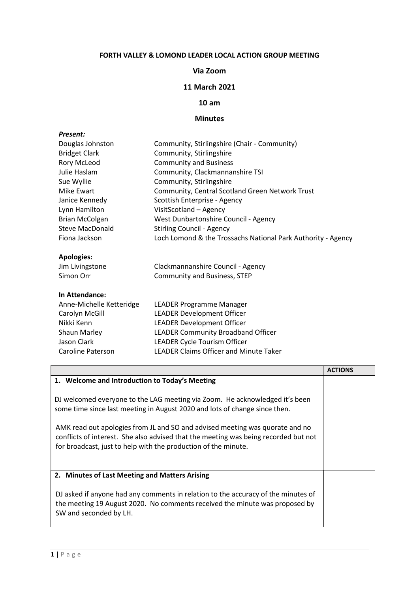## FORTH VALLEY & LOMOND LEADER LOCAL ACTION GROUP MEETING

#### Via Zoom

## 11 March 2021

## 10 am

# Minutes

| <b>Present:</b>          |                                                              |
|--------------------------|--------------------------------------------------------------|
| Douglas Johnston         | Community, Stirlingshire (Chair - Community)                 |
| <b>Bridget Clark</b>     | Community, Stirlingshire                                     |
| <b>Rory McLeod</b>       | <b>Community and Business</b>                                |
| Julie Haslam             | Community, Clackmannanshire TSI                              |
| Sue Wyllie               | Community, Stirlingshire                                     |
| Mike Ewart               | Community, Central Scotland Green Network Trust              |
| Janice Kennedy           | Scottish Enterprise - Agency                                 |
| Lynn Hamilton            | VisitScotland - Agency                                       |
| <b>Brian McColgan</b>    | West Dunbartonshire Council - Agency                         |
| Steve MacDonald          | <b>Stirling Council - Agency</b>                             |
| Fiona Jackson            | Loch Lomond & the Trossachs National Park Authority - Agency |
| <b>Apologies:</b>        |                                                              |
| Jim Livingstone          | Clackmannanshire Council - Agency                            |
| Simon Orr                | Community and Business, STEP                                 |
| In Attendance:           |                                                              |
| Anne-Michelle Ketteridge | <b>LEADER Programme Manager</b>                              |
| Carolyn McGill           | <b>LEADER Development Officer</b>                            |
| Nikki Kenn               | <b>LEADER Development Officer</b>                            |
| <b>Shaun Marley</b>      | <b>LEADER Community Broadband Officer</b>                    |
| Jason Clark              | LEADER Cycle Tourism Officer                                 |
| <b>Caroline Paterson</b> | <b>LEADER Claims Officer and Minute Taker</b>                |

|                                                                                                                                                                                                                                                                                                                                                                                                    | <b>ACTIONS</b> |
|----------------------------------------------------------------------------------------------------------------------------------------------------------------------------------------------------------------------------------------------------------------------------------------------------------------------------------------------------------------------------------------------------|----------------|
| 1. Welcome and Introduction to Today's Meeting                                                                                                                                                                                                                                                                                                                                                     |                |
| DJ welcomed everyone to the LAG meeting via Zoom. He acknowledged it's been<br>some time since last meeting in August 2020 and lots of change since then.<br>AMK read out apologies from JL and SO and advised meeting was quorate and no<br>conflicts of interest. She also advised that the meeting was being recorded but not<br>for broadcast, just to help with the production of the minute. |                |
| 2. Minutes of Last Meeting and Matters Arising                                                                                                                                                                                                                                                                                                                                                     |                |
| DJ asked if anyone had any comments in relation to the accuracy of the minutes of<br>the meeting 19 August 2020. No comments received the minute was proposed by<br>SW and seconded by LH.                                                                                                                                                                                                         |                |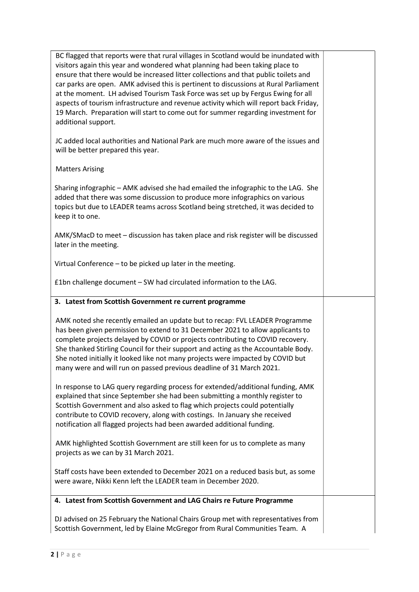| BC flagged that reports were that rural villages in Scotland would be inundated with<br>visitors again this year and wondered what planning had been taking place to<br>ensure that there would be increased litter collections and that public toilets and<br>car parks are open. AMK advised this is pertinent to discussions at Rural Parliament<br>at the moment. LH advised Tourism Task Force was set up by Fergus Ewing for all<br>aspects of tourism infrastructure and revenue activity which will report back Friday,<br>19 March. Preparation will start to come out for summer regarding investment for<br>additional support. |  |
|--------------------------------------------------------------------------------------------------------------------------------------------------------------------------------------------------------------------------------------------------------------------------------------------------------------------------------------------------------------------------------------------------------------------------------------------------------------------------------------------------------------------------------------------------------------------------------------------------------------------------------------------|--|
| JC added local authorities and National Park are much more aware of the issues and<br>will be better prepared this year.                                                                                                                                                                                                                                                                                                                                                                                                                                                                                                                   |  |
| <b>Matters Arising</b>                                                                                                                                                                                                                                                                                                                                                                                                                                                                                                                                                                                                                     |  |
| Sharing infographic - AMK advised she had emailed the infographic to the LAG. She<br>added that there was some discussion to produce more infographics on various<br>topics but due to LEADER teams across Scotland being stretched, it was decided to<br>keep it to one.                                                                                                                                                                                                                                                                                                                                                                  |  |
| AMK/SMacD to meet - discussion has taken place and risk register will be discussed<br>later in the meeting.                                                                                                                                                                                                                                                                                                                                                                                                                                                                                                                                |  |
| Virtual Conference - to be picked up later in the meeting.                                                                                                                                                                                                                                                                                                                                                                                                                                                                                                                                                                                 |  |
| £1bn challenge document - SW had circulated information to the LAG.                                                                                                                                                                                                                                                                                                                                                                                                                                                                                                                                                                        |  |
| 3. Latest from Scottish Government re current programme                                                                                                                                                                                                                                                                                                                                                                                                                                                                                                                                                                                    |  |
| AMK noted she recently emailed an update but to recap: FVL LEADER Programme<br>has been given permission to extend to 31 December 2021 to allow applicants to<br>complete projects delayed by COVID or projects contributing to COVID recovery.<br>She thanked Stirling Council for their support and acting as the Accountable Body.<br>She noted initially it looked like not many projects were impacted by COVID but<br>many were and will run on passed previous deadline of 31 March 2021.                                                                                                                                           |  |
| In response to LAG query regarding process for extended/additional funding, AMK<br>explained that since September she had been submitting a monthly register to<br>Scottish Government and also asked to flag which projects could potentially<br>contribute to COVID recovery, along with costings. In January she received<br>notification all flagged projects had been awarded additional funding.                                                                                                                                                                                                                                     |  |
| AMK highlighted Scottish Government are still keen for us to complete as many<br>projects as we can by 31 March 2021.                                                                                                                                                                                                                                                                                                                                                                                                                                                                                                                      |  |
| Staff costs have been extended to December 2021 on a reduced basis but, as some<br>were aware, Nikki Kenn left the LEADER team in December 2020.                                                                                                                                                                                                                                                                                                                                                                                                                                                                                           |  |
| 4. Latest from Scottish Government and LAG Chairs re Future Programme                                                                                                                                                                                                                                                                                                                                                                                                                                                                                                                                                                      |  |
| DJ advised on 25 February the National Chairs Group met with representatives from<br>Scottish Government, led by Elaine McGregor from Rural Communities Team. A                                                                                                                                                                                                                                                                                                                                                                                                                                                                            |  |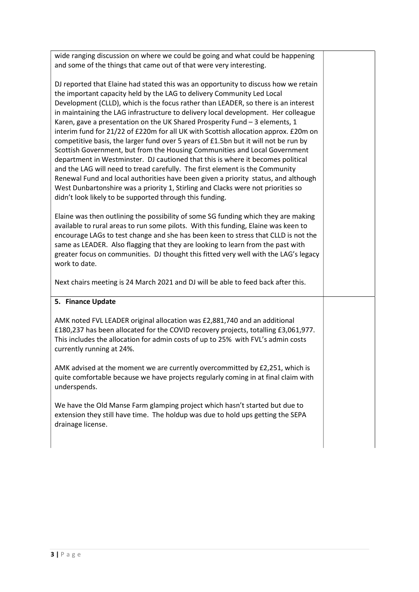wide ranging discussion on where we could be going and what could be happening and some of the things that came out of that were very interesting.

DJ reported that Elaine had stated this was an opportunity to discuss how we retain the important capacity held by the LAG to delivery Community Led Local Development (CLLD), which is the focus rather than LEADER, so there is an interest in maintaining the LAG infrastructure to delivery local development. Her colleague Karen, gave a presentation on the UK Shared Prosperity Fund – 3 elements, 1 interim fund for 21/22 of £220m for all UK with Scottish allocation approx. £20m on competitive basis, the larger fund over 5 years of £1.5bn but it will not be run by Scottish Government, but from the Housing Communities and Local Government department in Westminster. DJ cautioned that this is where it becomes political and the LAG will need to tread carefully. The first element is the Community Renewal Fund and local authorities have been given a priority status, and although West Dunbartonshire was a priority 1, Stirling and Clacks were not priorities so didn't look likely to be supported through this funding.

Elaine was then outlining the possibility of some SG funding which they are making available to rural areas to run some pilots. With this funding, Elaine was keen to encourage LAGs to test change and she has been keen to stress that CLLD is not the same as LEADER. Also flagging that they are looking to learn from the past with greater focus on communities. DJ thought this fitted very well with the LAG's legacy work to date.

Next chairs meeting is 24 March 2021 and DJ will be able to feed back after this.

## 5. Finance Update

AMK noted FVL LEADER original allocation was £2,881,740 and an additional £180,237 has been allocated for the COVID recovery projects, totalling £3,061,977. This includes the allocation for admin costs of up to 25% with FVL's admin costs currently running at 24%.

AMK advised at the moment we are currently overcommitted by £2,251, which is quite comfortable because we have projects regularly coming in at final claim with underspends.

We have the Old Manse Farm glamping project which hasn't started but due to extension they still have time. The holdup was due to hold ups getting the SEPA drainage license.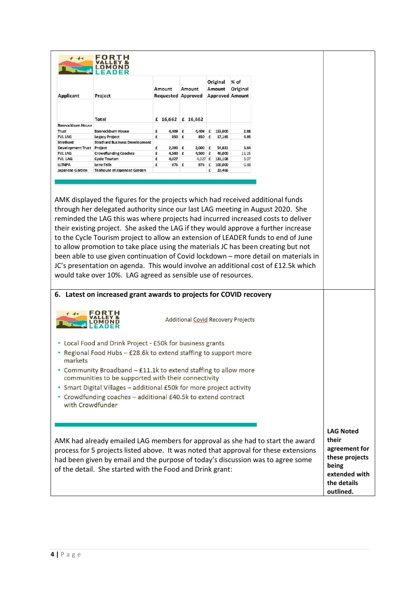| Applicant                 | Project                                                                                                                                                                                                                                                                                                                         | Amount<br><b>Requested Approved</b> | Amount                                    | Original<br>Amount<br><b>Approved Amount</b> | $%$ of<br>Original |
|---------------------------|---------------------------------------------------------------------------------------------------------------------------------------------------------------------------------------------------------------------------------------------------------------------------------------------------------------------------------|-------------------------------------|-------------------------------------------|----------------------------------------------|--------------------|
|                           | Total                                                                                                                                                                                                                                                                                                                           |                                     | £ 16,662 £ 16,662                         |                                              |                    |
| Bannockbum House<br>Trust | Bannockbum House                                                                                                                                                                                                                                                                                                                | £<br>4,409 £                        |                                           | 4,409 £ 153,000                              | 2.88               |
| <b>FVL LAG</b>            | Legacy Project                                                                                                                                                                                                                                                                                                                  | £<br>850 £                          |                                           | 850 f 17,165                                 | 4.95               |
| Strathard                 | <b>Strathard Business Development</b>                                                                                                                                                                                                                                                                                           |                                     |                                           |                                              |                    |
| Development Trust Project |                                                                                                                                                                                                                                                                                                                                 | £<br>$2,000$ £                      | $2,000$ £                                 | 54,881                                       | 3.64               |
| <b>FVL LAG</b><br>FVL LAG | <b>Crowdfunding Coaches</b><br><b>Cycle Tourism</b>                                                                                                                                                                                                                                                                             | £<br>4,500 £<br>£<br>4,027          | 4,500 $f$<br>4,027 £                      | 40,000<br>131,108                            | 11.25<br>3.07      |
| <b>LLTNPA</b>             | Leny Falls                                                                                                                                                                                                                                                                                                                      | £<br>876 £                          | 876 £                                     | 100,000                                      | 0.88               |
| Japanese Garden           | Teahouse at Japanese Garden                                                                                                                                                                                                                                                                                                     |                                     |                                           | 33,466<br>£                                  |                    |
|                           | to the Cycle Tourism project to allow an extension of LEADER funds to end of June                                                                                                                                                                                                                                               |                                     |                                           |                                              |                    |
|                           | to allow promotion to take place using the materials JC has been creating but not<br>been able to use given continuation of Covid lockdown - more detail on materials in<br>JC's presentation on agenda. This would involve an additional cost of £12.5k which<br>would take over 10%. LAG agreed as sensible use of resources. |                                     |                                           |                                              |                    |
|                           | 6. Latest on increased grant awards to projects for COVID recovery<br>OMOND                                                                                                                                                                                                                                                     |                                     | <b>Additional Covid Recovery Projects</b> |                                              |                    |
|                           | • Local Food and Drink Project - £50k for business grants                                                                                                                                                                                                                                                                       |                                     |                                           |                                              |                    |
| markets                   | • Regional Food Hubs - £28.6k to extend staffing to support more                                                                                                                                                                                                                                                                |                                     |                                           |                                              |                    |
|                           | • Community Broadband - £11.1k to extend staffing to allow more<br>communities to be supported with their connectivity                                                                                                                                                                                                          |                                     |                                           |                                              |                    |
|                           |                                                                                                                                                                                                                                                                                                                                 |                                     |                                           |                                              |                    |
| with Crowdfunder          | • Smart Digital Villages - additional £50k for more project activity<br>• Crowdfunding coaches - additional £40.5k to extend contract                                                                                                                                                                                           |                                     |                                           |                                              |                    |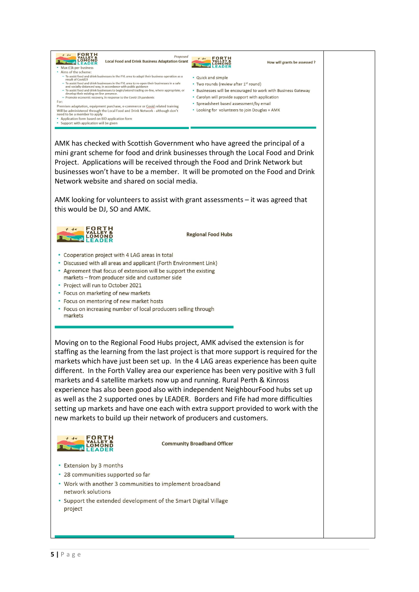

AMK has checked with Scottish Government who have agreed the principal of a mini grant scheme for food and drink businesses through the Local Food and Drink Project. Applications will be received through the Food and Drink Network but businesses won't have to be a member. It will be promoted on the Food and Drink Network website and shared on social media.

AMK looking for volunteers to assist with grant assessments - it was agreed that this would be DJ, SO and AMK.



**Regional Food Hubs** 

- Cooperation project with 4 LAG areas in total
- Discussed with all areas and applicant (Forth Environment Link)
- Agreement that focus of extension will be support the existing markets - from producer side and customer side
- Project will run to October 2021
- Focus on marketing of new markets
- Focus on mentoring of new market hosts
- Focus on increasing number of local producers selling through markets

Moving on to the Regional Food Hubs project, AMK advised the extension is for staffing as the learning from the last project is that more support is required for the markets which have just been set up. In the 4 LAG areas experience has been quite different. In the Forth Valley area our experience has been very positive with 3 full markets and 4 satellite markets now up and running. Rural Perth & Kinross experience has also been good also with independent NeighbourFood hubs set up as well as the 2 supported ones by LEADER. Borders and Fife had more difficulties setting up markets and have one each with extra support provided to work with the new markets to build up their network of producers and customers.



**Community Broadband Officer** 

- Extension by 3 months
- · 28 communities supported so far
- Work with another 3 communities to implement broadband network solutions
- Support the extended development of the Smart Digital Village project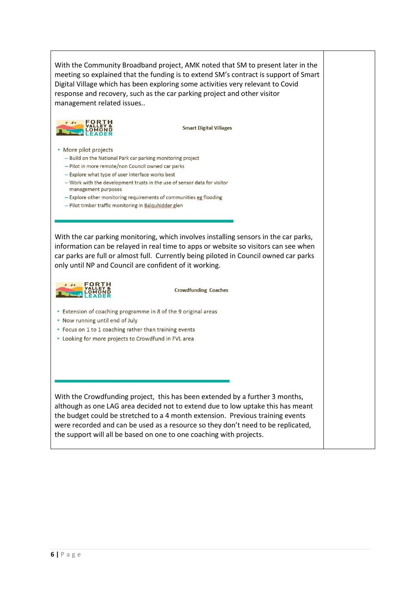With the Community Broadband project, AMK noted that SM to present later in the meeting so explained that the funding is to extend SM's contract is support of Smart Digital Village which has been exploring some activities very relevant to Covid response and recovery, such as the car parking project and other visitor management related issues..



**Smart Digital Villages** 

- More pilot projects
	- Build on the National Park car parking monitoring project
	- Pilot in more remote/non Council owned car parks
	- Explore what type of user interface works best
	- Work with the development trusts in the use of sensor data for visitor management purposes
	- Explore other monitoring requirements of communities eg flooding
	- Pilot timber traffic monitoring in Balquhidder glen

With the car parking monitoring, which involves installing sensors in the car parks, information can be relayed in real time to apps or website so visitors can see when car parks are full or almost full. Currently being piloted in Council owned car parks only until NP and Council are confident of it working.



**Crowdfunding Coaches** 

- Extension of coaching programme in 8 of the 9 original areas
- Now running until end of July
- Focus on 1 to 1 coaching rather than training events
- Looking for more projects to Crowdfund in FVL area

With the Crowdfunding project, this has been extended by a further 3 months, although as one LAG area decided not to extend due to low uptake this has meant the budget could be stretched to a 4 month extension. Previous training events were recorded and can be used as a resource so they don't need to be replicated, the support will all be based on one to one coaching with projects.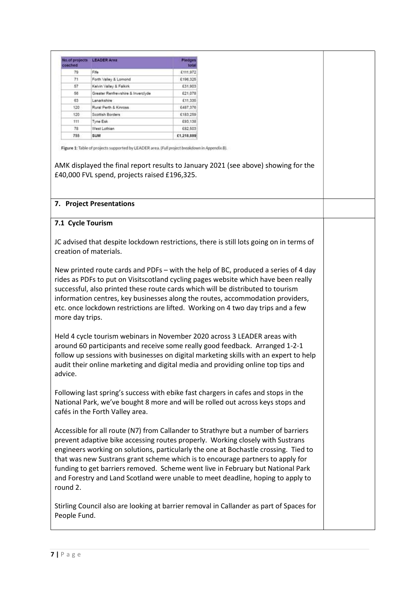| coached | No.of projects LEADER Area        | Pledges<br>total |
|---------|-----------------------------------|------------------|
| 79      | Fife                              | £111,972         |
| 71      | Forth Valley & Lomond             | £196,325         |
| 57      | Kelvin Valley & Falkirk           | £31,903          |
| 56      | Greater Renfrewshire & Inverchide | £21,078          |
| 63      | Lanarkshire                       | £11,335          |
| 120     | Rural Perth & Kinross             | £487,376         |
| 120     | Scottish Borders                  | £183.259         |
| 111     | Tyne Esk                          | E93.138          |
| 78      | West Lothian                      | £82,503          |
| 755     | SUM                               | E1,218,889       |

Figure 1: Table of projects supported by LEADER area. (Full project breakdown in Appendix B).

AMK displayed the final report results to January 2021 (see above) showing for the £40,000 FVL spend, projects raised £196,325.

#### 7. Project Presentations

### 7.1 Cycle Tourism

JC advised that despite lockdown restrictions, there is still lots going on in terms of creation of materials.

New printed route cards and PDFs – with the help of BC, produced a series of 4 day rides as PDFs to put on Visitscotland cycling pages website which have been really successful, also printed these route cards which will be distributed to tourism information centres, key businesses along the routes, accommodation providers, etc. once lockdown restrictions are lifted. Working on 4 two day trips and a few more day trips.

Held 4 cycle tourism webinars in November 2020 across 3 LEADER areas with around 60 participants and receive some really good feedback. Arranged 1-2-1 follow up sessions with businesses on digital marketing skills with an expert to help audit their online marketing and digital media and providing online top tips and advice.

Following last spring's success with ebike fast chargers in cafes and stops in the National Park, we've bought 8 more and will be rolled out across keys stops and cafés in the Forth Valley area.

Accessible for all route (N7) from Callander to Strathyre but a number of barriers prevent adaptive bike accessing routes properly. Working closely with Sustrans engineers working on solutions, particularly the one at Bochastle crossing. Tied to that was new Sustrans grant scheme which is to encourage partners to apply for funding to get barriers removed. Scheme went live in February but National Park and Forestry and Land Scotland were unable to meet deadline, hoping to apply to round 2.

Stirling Council also are looking at barrier removal in Callander as part of Spaces for People Fund.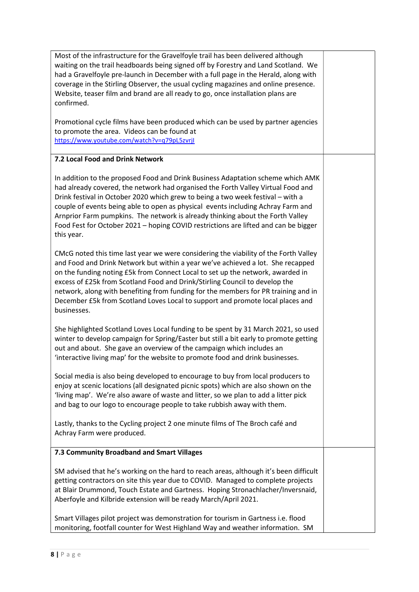| Most of the infrastructure for the Gravelfoyle trail has been delivered although<br>waiting on the trail headboards being signed off by Forestry and Land Scotland. We<br>had a Gravelfoyle pre-launch in December with a full page in the Herald, along with<br>coverage in the Stirling Observer, the usual cycling magazines and online presence.<br>Website, teaser film and brand are all ready to go, once installation plans are<br>confirmed.<br>Promotional cycle films have been produced which can be used by partner agencies<br>to promote the area. Videos can be found at<br>https://www.youtube.com/watch?v=q79pL5zvrjl |  |
|-----------------------------------------------------------------------------------------------------------------------------------------------------------------------------------------------------------------------------------------------------------------------------------------------------------------------------------------------------------------------------------------------------------------------------------------------------------------------------------------------------------------------------------------------------------------------------------------------------------------------------------------|--|
| 7.2 Local Food and Drink Network                                                                                                                                                                                                                                                                                                                                                                                                                                                                                                                                                                                                        |  |
| In addition to the proposed Food and Drink Business Adaptation scheme which AMK<br>had already covered, the network had organised the Forth Valley Virtual Food and<br>Drink festival in October 2020 which grew to being a two week festival - with a<br>couple of events being able to open as physical events including Achray Farm and<br>Arnprior Farm pumpkins. The network is already thinking about the Forth Valley<br>Food Fest for October 2021 - hoping COVID restrictions are lifted and can be bigger<br>this year.                                                                                                       |  |
| CMcG noted this time last year we were considering the viability of the Forth Valley<br>and Food and Drink Network but within a year we've achieved a lot. She recapped<br>on the funding noting £5k from Connect Local to set up the network, awarded in<br>excess of £25k from Scotland Food and Drink/Stirling Council to develop the<br>network, along with benefiting from funding for the members for PR training and in<br>December £5k from Scotland Loves Local to support and promote local places and<br>businesses.                                                                                                         |  |
| She highlighted Scotland Loves Local funding to be spent by 31 March 2021, so used<br>winter to develop campaign for Spring/Easter but still a bit early to promote getting<br>out and about. She gave an overview of the campaign which includes an<br>'interactive living map' for the website to promote food and drink businesses.                                                                                                                                                                                                                                                                                                  |  |
| Social media is also being developed to encourage to buy from local producers to<br>enjoy at scenic locations (all designated picnic spots) which are also shown on the<br>'living map'. We're also aware of waste and litter, so we plan to add a litter pick<br>and bag to our logo to encourage people to take rubbish away with them.                                                                                                                                                                                                                                                                                               |  |
| Lastly, thanks to the Cycling project 2 one minute films of The Broch café and<br>Achray Farm were produced.                                                                                                                                                                                                                                                                                                                                                                                                                                                                                                                            |  |
| 7.3 Community Broadband and Smart Villages                                                                                                                                                                                                                                                                                                                                                                                                                                                                                                                                                                                              |  |
| SM advised that he's working on the hard to reach areas, although it's been difficult<br>getting contractors on site this year due to COVID. Managed to complete projects<br>at Blair Drummond, Touch Estate and Gartness. Hoping Stronachlacher/Inversnaid,<br>Aberfoyle and Kilbride extension will be ready March/April 2021.                                                                                                                                                                                                                                                                                                        |  |
| Smart Villages pilot project was demonstration for tourism in Gartness i.e. flood<br>monitoring, footfall counter for West Highland Way and weather information. SM                                                                                                                                                                                                                                                                                                                                                                                                                                                                     |  |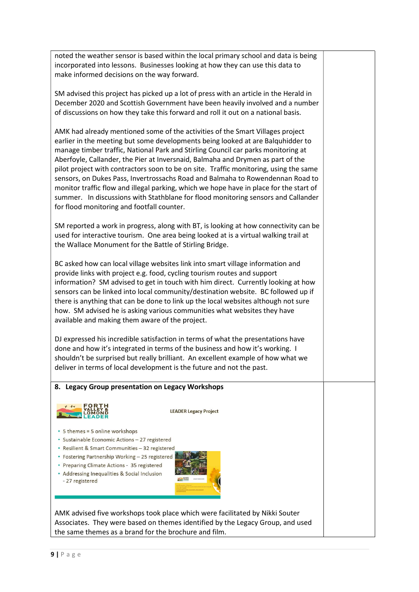noted the weather sensor is based within the local primary school and data is being incorporated into lessons. Businesses looking at how they can use this data to make informed decisions on the way forward.

SM advised this project has picked up a lot of press with an article in the Herald in December 2020 and Scottish Government have been heavily involved and a number of discussions on how they take this forward and roll it out on a national basis.

AMK had already mentioned some of the activities of the Smart Villages project earlier in the meeting but some developments being looked at are Balquhidder to manage timber traffic, National Park and Stirling Council car parks monitoring at Aberfoyle, Callander, the Pier at Inversnaid, Balmaha and Drymen as part of the pilot project with contractors soon to be on site. Traffic monitoring, using the same sensors, on Dukes Pass, Invertrossachs Road and Balmaha to Rowendennan Road to monitor traffic flow and illegal parking, which we hope have in place for the start of summer. In discussions with Stathblane for flood monitoring sensors and Callander for flood monitoring and footfall counter.

SM reported a work in progress, along with BT, is looking at how connectivity can be used for interactive tourism. One area being looked at is a virtual walking trail at the Wallace Monument for the Battle of Stirling Bridge.

BC asked how can local village websites link into smart village information and provide links with project e.g. food, cycling tourism routes and support information? SM advised to get in touch with him direct. Currently looking at how sensors can be linked into local community/destination website. BC followed up if there is anything that can be done to link up the local websites although not sure how. SM advised he is asking various communities what websites they have available and making them aware of the project.

DJ expressed his incredible satisfaction in terms of what the presentations have done and how it's integrated in terms of the business and how it's working. I shouldn't be surprised but really brilliant. An excellent example of how what we deliver in terms of local development is the future and not the past.

## 8. Legacy Group presentation on Legacy Workshops



**LEADER Legacy Project** 

- 5 themes = 5 online workshops
- · Sustainable Economic Actions 27 registered
- Resilient & Smart Communities 32 registered
- Fostering Partnership Working 25 registered
- Preparing Climate Actions 35 registered
- Addressing Inequalities & Social Inclusion - 27 registered



AMK advised five workshops took place which were facilitated by Nikki Souter Associates. They were based on themes identified by the Legacy Group, and used the same themes as a brand for the brochure and film.